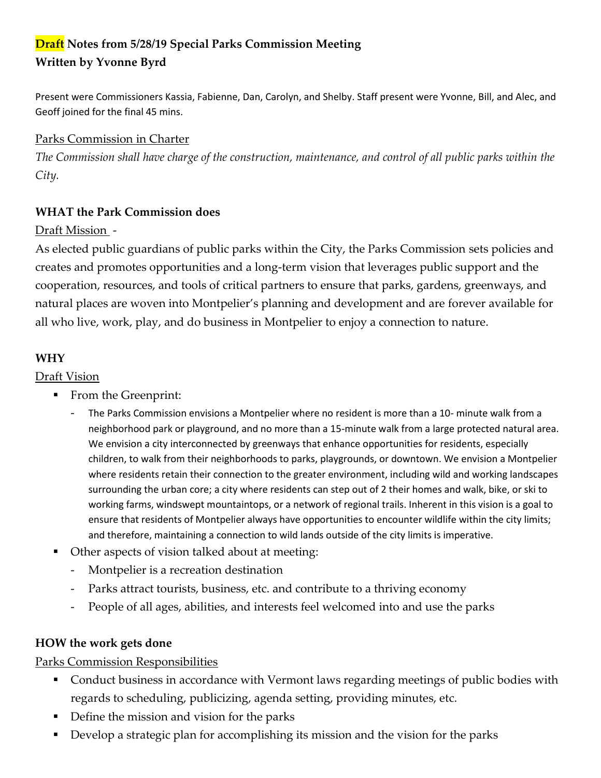# **Draft Notes from 5/28/19 Special Parks Commission Meeting Written by Yvonne Byrd**

Present were Commissioners Kassia, Fabienne, Dan, Carolyn, and Shelby. Staff present were Yvonne, Bill, and Alec, and Geoff joined for the final 45 mins.

# Parks Commission in Charter

*The Commission shall have charge of the construction, maintenance, and control of all public parks within the City.*

# **WHAT the Park Commission does**

# Draft Mission -

As elected public guardians of public parks within the City, the Parks Commission sets policies and creates and promotes opportunities and a long-term vision that leverages public support and the cooperation, resources, and tools of critical partners to ensure that parks, gardens, greenways, and natural places are woven into Montpelier's planning and development and are forever available for all who live, work, play, and do business in Montpelier to enjoy a connection to nature.

### **WHY**

#### Draft Vision

- **From the Greenprint:** 
	- The Parks Commission envisions a Montpelier where no resident is more than a 10- minute walk from a neighborhood park or playground, and no more than a 15-minute walk from a large protected natural area. We envision a city interconnected by greenways that enhance opportunities for residents, especially children, to walk from their neighborhoods to parks, playgrounds, or downtown. We envision a Montpelier where residents retain their connection to the greater environment, including wild and working landscapes surrounding the urban core; a city where residents can step out of 2 their homes and walk, bike, or ski to working farms, windswept mountaintops, or a network of regional trails. Inherent in this vision is a goal to ensure that residents of Montpelier always have opportunities to encounter wildlife within the city limits; and therefore, maintaining a connection to wild lands outside of the city limits is imperative.
- Other aspects of vision talked about at meeting:
	- Montpelier is a recreation destination
	- Parks attract tourists, business, etc. and contribute to a thriving economy
	- People of all ages, abilities, and interests feel welcomed into and use the parks

#### **HOW the work gets done**

# Parks Commission Responsibilities

- **Conduct business in accordance with Vermont laws regarding meetings of public bodies with** regards to scheduling, publicizing, agenda setting, providing minutes, etc.
- Define the mission and vision for the parks
- Develop a strategic plan for accomplishing its mission and the vision for the parks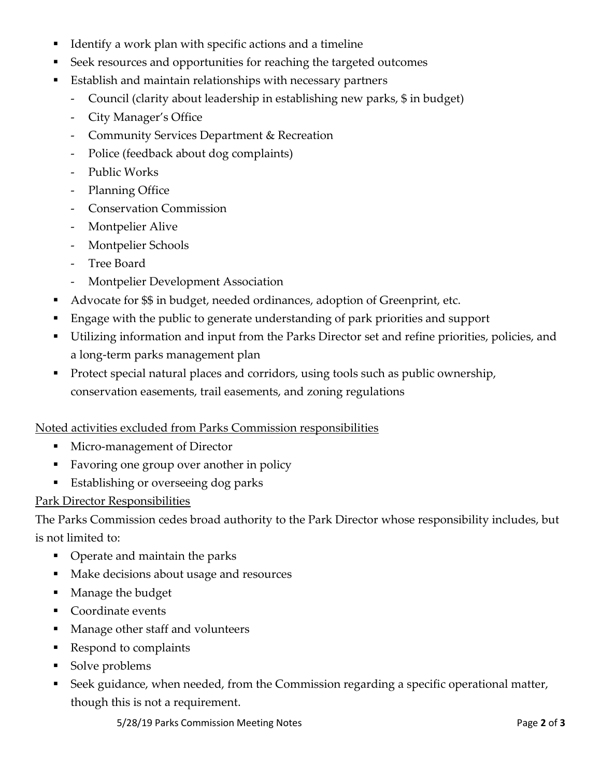- Identify a work plan with specific actions and a timeline
- Seek resources and opportunities for reaching the targeted outcomes
- Establish and maintain relationships with necessary partners
	- Council (clarity about leadership in establishing new parks, \$ in budget)
	- City Manager's Office
	- Community Services Department & Recreation
	- Police (feedback about dog complaints)
	- Public Works
	- Planning Office
	- Conservation Commission
	- Montpelier Alive
	- Montpelier Schools
	- Tree Board
	- Montpelier Development Association
- Advocate for \$\$ in budget, needed ordinances, adoption of Greenprint, etc.
- Engage with the public to generate understanding of park priorities and support
- Utilizing information and input from the Parks Director set and refine priorities, policies, and a long-term parks management plan
- Protect special natural places and corridors, using tools such as public ownership, conservation easements, trail easements, and zoning regulations

# Noted activities excluded from Parks Commission responsibilities

- **Micro-management of Director**
- Favoring one group over another in policy
- Establishing or overseeing dog parks

# Park Director Responsibilities

The Parks Commission cedes broad authority to the Park Director whose responsibility includes, but is not limited to:

- Operate and maintain the parks
- Make decisions about usage and resources
- Manage the budget
- **Coordinate events**
- Manage other staff and volunteers
- Respond to complaints
- Solve problems
- Seek guidance, when needed, from the Commission regarding a specific operational matter, though this is not a requirement.